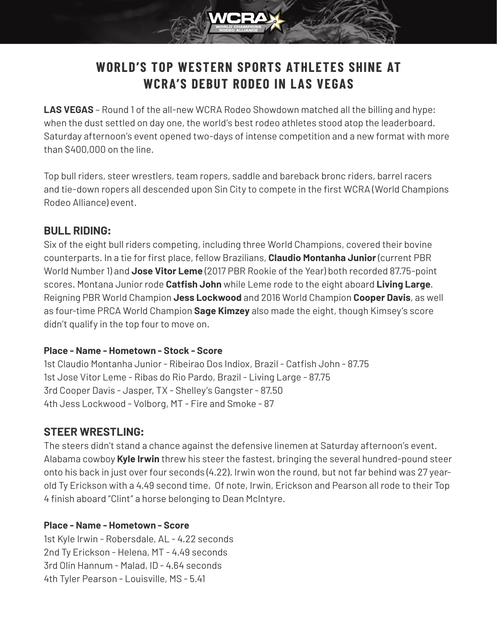# **WORLD'S TOP WESTERN SPORTS ATHLETES SHINE AT WCRA'S DEBUT RODEO IN LAS VEGAS**

**LAS VEGAS** – Round 1 of the all-new WCRA Rodeo Showdown matched all the billing and hype: when the dust settled on day one, the world's best rodeo athletes stood atop the leaderboard. Saturday afternoon's event opened two-days of intense competition and a new format with more than \$400,000 on the line.

Top bull riders, steer wrestlers, team ropers, saddle and bareback bronc riders, barrel racers and tie-down ropers all descended upon Sin City to compete in the first WCRA (World Champions Rodeo Alliance) event.

# **BULL RIDING:**

Six of the eight bull riders competing, including three World Champions, covered their bovine counterparts. In a tie for first place, fellow Brazilians, **Claudio Montanha Junior** (current PBR World Number 1) and **Jose Vitor Leme** (2017 PBR Rookie of the Year) both recorded 87.75-point scores. Montana Junior rode **Catfish John** while Leme rode to the eight aboard **Living Large**. Reigning PBR World Champion **Jess Lockwood** and 2016 World Champion **Cooper Davis**, as well as four-time PRCA World Champion **Sage Kimzey** also made the eight, though Kimsey's score didn't qualify in the top four to move on.

# **Place - Name - Hometown - Stock - Score**

1st Claudio Montanha Junior - Ribeirao Dos Indiox, Brazil - Catfish John - 87.75 1st Jose Vitor Leme - Ribas do Rio Pardo, Brazil - Living Large - 87.75 3rd Cooper Davis - Jasper, TX - Shelley's Gangster - 87.50 4th Jess Lockwood - Volborg, MT - Fire and Smoke - 87

# **STEER WRESTLING:**

The steers didn't stand a chance against the defensive linemen at Saturday afternoon's event. Alabama cowboy **Kyle Irwin** threw his steer the fastest, bringing the several hundred-pound steer onto his back in just over four seconds (4.22). Irwin won the round, but not far behind was 27 yearold Ty Erickson with a 4.49 second time. Of note, Irwin, Erickson and Pearson all rode to their Top 4 finish aboard "Clint" a horse belonging to Dean McIntyre.

# **Place - Name - Hometown - Score**

1st Kyle Irwin - Robersdale, AL - 4.22 seconds 2nd Ty Erickson - Helena, MT - 4.49 seconds 3rd Olin Hannum - Malad, ID - 4.64 seconds 4th Tyler Pearson - Louisville, MS - 5.41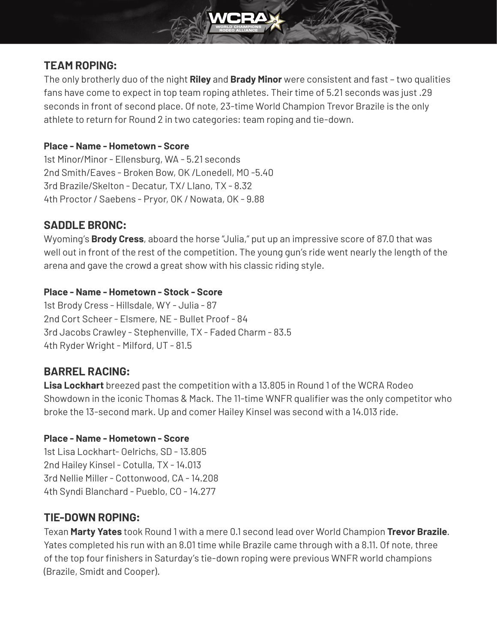# **TEAM ROPING:**

The only brotherly duo of the night **Riley** and **Brady Minor** were consistent and fast – two qualities fans have come to expect in top team roping athletes. Their time of 5.21 seconds was just .29 seconds in front of second place. Of note, 23-time World Champion Trevor Brazile is the only athlete to return for Round 2 in two categories: team roping and tie-down.

#### **Place - Name - Hometown - Score**

1st Minor/Minor - Ellensburg, WA - 5.21 seconds 2nd Smith/Eaves - Broken Bow, OK /Lonedell, MO -5.40 3rd Brazile/Skelton - Decatur, TX/ Llano, TX - 8.32 4th Proctor / Saebens - Pryor, OK / Nowata, OK - 9.88

# **SADDLE BRONC:**

Wyoming's **Brody Cress**, aboard the horse "Julia," put up an impressive score of 87.0 that was well out in front of the rest of the competition. The young gun's ride went nearly the length of the arena and gave the crowd a great show with his classic riding style.

#### **Place - Name - Hometown - Stock - Score**

1st Brody Cress - Hillsdale, WY - Julia - 87 2nd Cort Scheer - Elsmere, NE - Bullet Proof - 84 3rd Jacobs Crawley - Stephenville, TX - Faded Charm - 83.5 4th Ryder Wright - Milford, UT - 81.5

# **BARREL RACING:**

**Lisa Lockhart** breezed past the competition with a 13.805 in Round 1 of the WCRA Rodeo Showdown in the iconic Thomas & Mack. The 11-time WNFR qualifier was the only competitor who broke the 13-second mark. Up and comer Hailey Kinsel was second with a 14.013 ride.

#### **Place - Name - Hometown - Score**

1st Lisa Lockhart- Oelrichs, SD - 13.805 2nd Hailey Kinsel - Cotulla, TX - 14.013 3rd Nellie Miller - Cottonwood, CA - 14.208 4th Syndi Blanchard - Pueblo, CO - 14.277

# **TIE-DOWN ROPING:**

Texan **Marty Yates** took Round 1 with a mere 0.1 second lead over World Champion **Trevor Brazile**. Yates completed his run with an 8.01 time while Brazile came through with a 8.11. Of note, three of the top four finishers in Saturday's tie-down roping were previous WNFR world champions (Brazile, Smidt and Cooper).